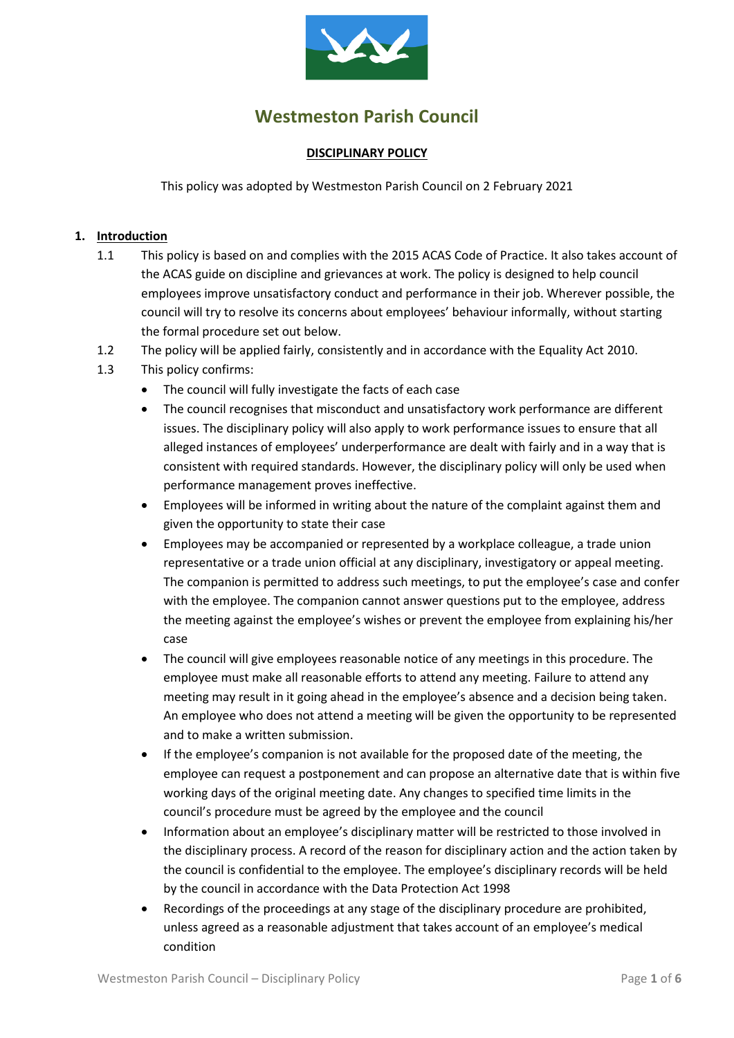

# **Westmeston Parish Council**

#### **DISCIPLINARY POLICY**

This policy was adopted by Westmeston Parish Council on 2 February 2021

#### **1. Introduction**

- 1.1 This policy is based on and complies with the 2015 ACAS Code of Practice. It also takes account of the ACAS guide on discipline and grievances at work. The policy is designed to help council employees improve unsatisfactory conduct and performance in their job. Wherever possible, the council will try to resolve its concerns about employees' behaviour informally, without starting the formal procedure set out below.
- 1.2 The policy will be applied fairly, consistently and in accordance with the Equality Act 2010.
- 1.3 This policy confirms:
	- The council will fully investigate the facts of each case
	- The council recognises that misconduct and unsatisfactory work performance are different issues. The disciplinary policy will also apply to work performance issues to ensure that all alleged instances of employees' underperformance are dealt with fairly and in a way that is consistent with required standards. However, the disciplinary policy will only be used when performance management proves ineffective.
	- Employees will be informed in writing about the nature of the complaint against them and given the opportunity to state their case
	- Employees may be accompanied or represented by a workplace colleague, a trade union representative or a trade union official at any disciplinary, investigatory or appeal meeting. The companion is permitted to address such meetings, to put the employee's case and confer with the employee. The companion cannot answer questions put to the employee, address the meeting against the employee's wishes or prevent the employee from explaining his/her case
	- The council will give employees reasonable notice of any meetings in this procedure. The employee must make all reasonable efforts to attend any meeting. Failure to attend any meeting may result in it going ahead in the employee's absence and a decision being taken. An employee who does not attend a meeting will be given the opportunity to be represented and to make a written submission.
	- If the employee's companion is not available for the proposed date of the meeting, the employee can request a postponement and can propose an alternative date that is within five working days of the original meeting date. Any changes to specified time limits in the council's procedure must be agreed by the employee and the council
	- Information about an employee's disciplinary matter will be restricted to those involved in the disciplinary process. A record of the reason for disciplinary action and the action taken by the council is confidential to the employee. The employee's disciplinary records will be held by the council in accordance with the Data Protection Act 1998
	- Recordings of the proceedings at any stage of the disciplinary procedure are prohibited, unless agreed as a reasonable adjustment that takes account of an employee's medical condition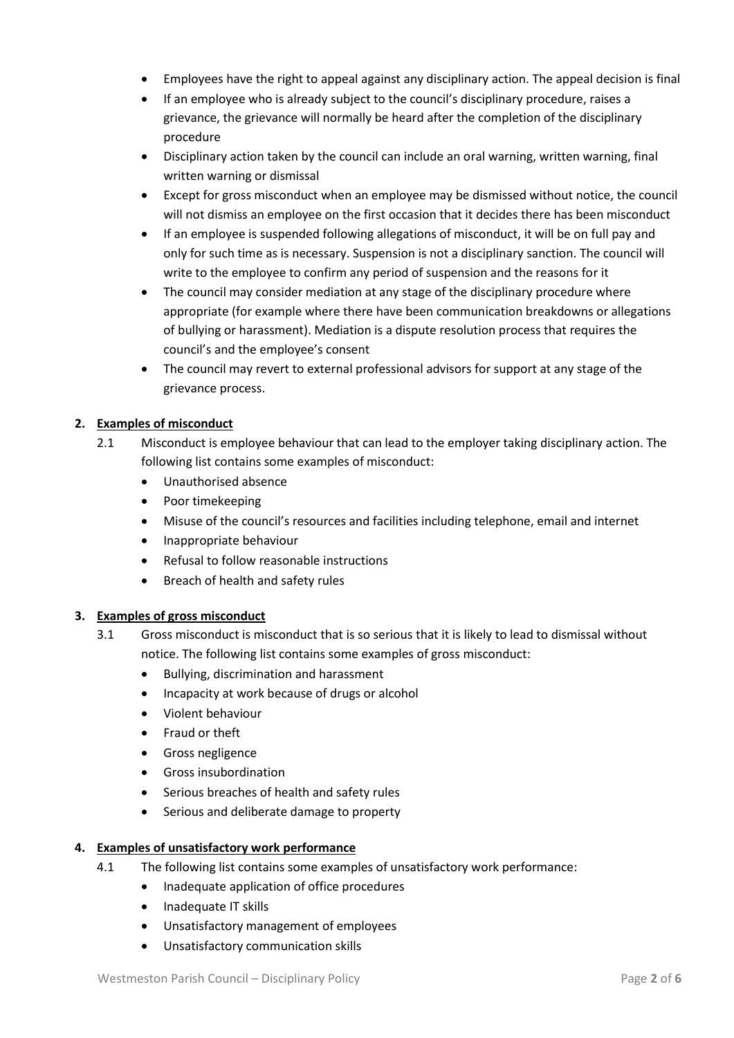- Employees have the right to appeal against any disciplinary action. The appeal decision is final
- If an employee who is already subject to the council's disciplinary procedure, raises a grievance, the grievance will normally be heard after the completion of the disciplinary procedure
- Disciplinary action taken by the council can include an oral warning, written warning, final written warning or dismissal
- Except for gross misconduct when an employee may be dismissed without notice, the council will not dismiss an employee on the first occasion that it decides there has been misconduct
- If an employee is suspended following allegations of misconduct, it will be on full pay and only for such time as is necessary. Suspension is not a disciplinary sanction. The council will write to the employee to confirm any period of suspension and the reasons for it
- The council may consider mediation at any stage of the disciplinary procedure where appropriate (for example where there have been communication breakdowns or allegations of bullying or harassment). Mediation is a dispute resolution process that requires the council's and the employee's consent
- The council may revert to external professional advisors for support at any stage of the grievance process.

# **2. Examples of misconduct**

- 2.1 Misconduct is employee behaviour that can lead to the employer taking disciplinary action. The following list contains some examples of misconduct:
	- Unauthorised absence
	- Poor timekeeping
	- Misuse of the council's resources and facilities including telephone, email and internet
	- Inappropriate behaviour
	- Refusal to follow reasonable instructions
	- Breach of health and safety rules

# **3. Examples of gross misconduct**

- 3.1 Gross misconduct is misconduct that is so serious that it is likely to lead to dismissal without notice. The following list contains some examples of gross misconduct:
	- Bullying, discrimination and harassment
	- Incapacity at work because of drugs or alcohol
	- Violent behaviour
	- Fraud or theft
	- Gross negligence
	- Gross insubordination
	- Serious breaches of health and safety rules
	- Serious and deliberate damage to property

# **4. Examples of unsatisfactory work performance**

- 4.1 The following list contains some examples of unsatisfactory work performance:
	- Inadequate application of office procedures
	- Inadequate IT skills
	- Unsatisfactory management of employees
	- Unsatisfactory communication skills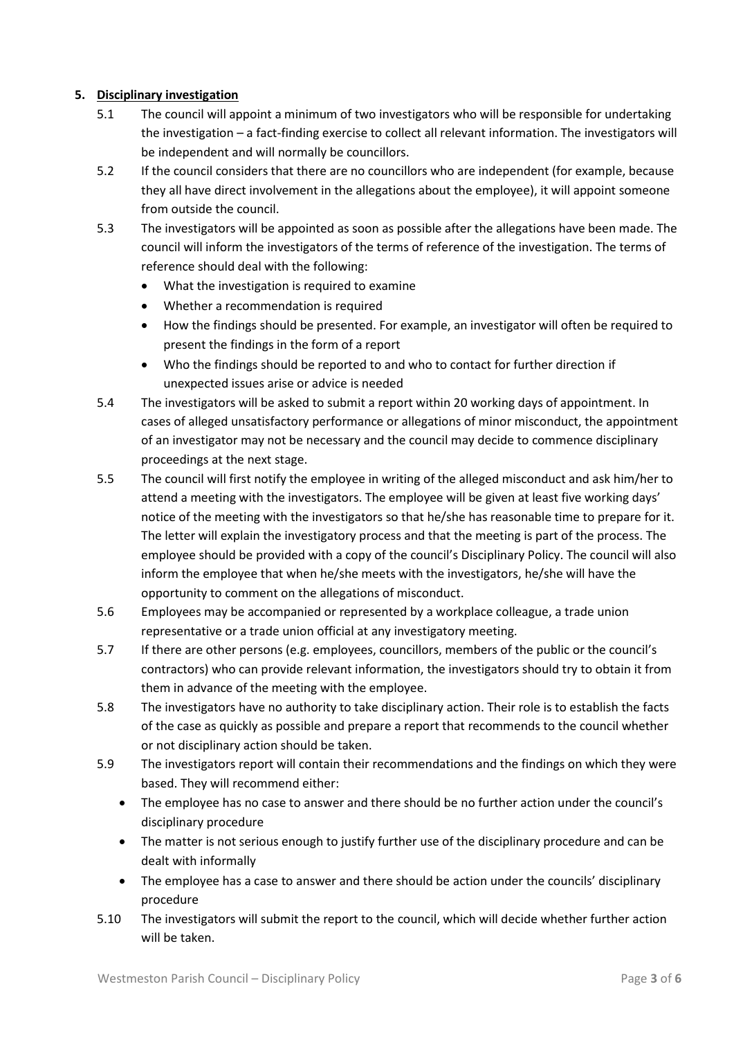# **5. Disciplinary investigation**

- 5.1 The council will appoint a minimum of two investigators who will be responsible for undertaking the investigation – a fact-finding exercise to collect all relevant information. The investigators will be independent and will normally be councillors.
- 5.2 If the council considers that there are no councillors who are independent (for example, because they all have direct involvement in the allegations about the employee), it will appoint someone from outside the council.
- 5.3 The investigators will be appointed as soon as possible after the allegations have been made. The council will inform the investigators of the terms of reference of the investigation. The terms of reference should deal with the following:
	- What the investigation is required to examine
	- Whether a recommendation is required
	- How the findings should be presented. For example, an investigator will often be required to present the findings in the form of a report
	- Who the findings should be reported to and who to contact for further direction if unexpected issues arise or advice is needed
- 5.4 The investigators will be asked to submit a report within 20 working days of appointment. In cases of alleged unsatisfactory performance or allegations of minor misconduct, the appointment of an investigator may not be necessary and the council may decide to commence disciplinary proceedings at the next stage.
- 5.5 The council will first notify the employee in writing of the alleged misconduct and ask him/her to attend a meeting with the investigators. The employee will be given at least five working days' notice of the meeting with the investigators so that he/she has reasonable time to prepare for it. The letter will explain the investigatory process and that the meeting is part of the process. The employee should be provided with a copy of the council's Disciplinary Policy. The council will also inform the employee that when he/she meets with the investigators, he/she will have the opportunity to comment on the allegations of misconduct.
- 5.6 Employees may be accompanied or represented by a workplace colleague, a trade union representative or a trade union official at any investigatory meeting.
- 5.7 If there are other persons (e.g. employees, councillors, members of the public or the council's contractors) who can provide relevant information, the investigators should try to obtain it from them in advance of the meeting with the employee.
- 5.8 The investigators have no authority to take disciplinary action. Their role is to establish the facts of the case as quickly as possible and prepare a report that recommends to the council whether or not disciplinary action should be taken.
- 5.9 The investigators report will contain their recommendations and the findings on which they were based. They will recommend either:
	- The employee has no case to answer and there should be no further action under the council's disciplinary procedure
	- The matter is not serious enough to justify further use of the disciplinary procedure and can be dealt with informally
	- The employee has a case to answer and there should be action under the councils' disciplinary procedure
- 5.10 The investigators will submit the report to the council, which will decide whether further action will be taken.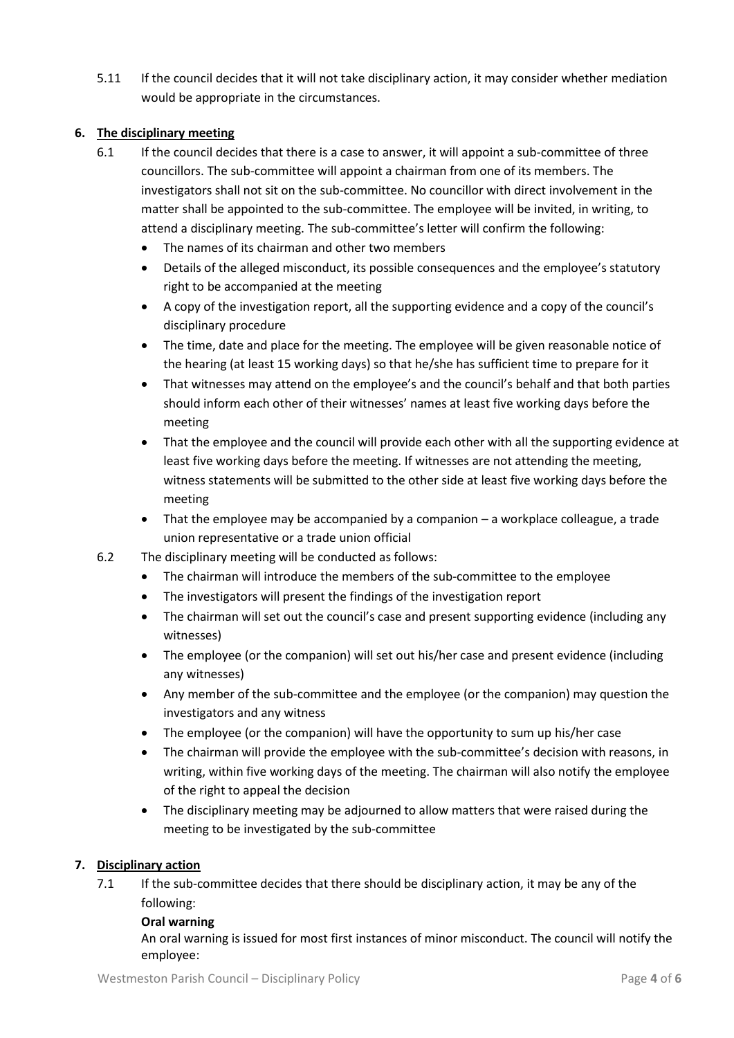5.11 If the council decides that it will not take disciplinary action, it may consider whether mediation would be appropriate in the circumstances.

# **6. The disciplinary meeting**

- 6.1 If the council decides that there is a case to answer, it will appoint a sub-committee of three councillors. The sub-committee will appoint a chairman from one of its members. The investigators shall not sit on the sub-committee. No councillor with direct involvement in the matter shall be appointed to the sub-committee. The employee will be invited, in writing, to attend a disciplinary meeting. The sub-committee's letter will confirm the following:
	- The names of its chairman and other two members
	- Details of the alleged misconduct, its possible consequences and the employee's statutory right to be accompanied at the meeting
	- A copy of the investigation report, all the supporting evidence and a copy of the council's disciplinary procedure
	- The time, date and place for the meeting. The employee will be given reasonable notice of the hearing (at least 15 working days) so that he/she has sufficient time to prepare for it
	- That witnesses may attend on the employee's and the council's behalf and that both parties should inform each other of their witnesses' names at least five working days before the meeting
	- That the employee and the council will provide each other with all the supporting evidence at least five working days before the meeting. If witnesses are not attending the meeting, witness statements will be submitted to the other side at least five working days before the meeting
	- That the employee may be accompanied by a companion a workplace colleague, a trade union representative or a trade union official
- 6.2 The disciplinary meeting will be conducted as follows:
	- The chairman will introduce the members of the sub-committee to the employee
	- The investigators will present the findings of the investigation report
	- The chairman will set out the council's case and present supporting evidence (including any witnesses)
	- The employee (or the companion) will set out his/her case and present evidence (including any witnesses)
	- Any member of the sub-committee and the employee (or the companion) may question the investigators and any witness
	- The employee (or the companion) will have the opportunity to sum up his/her case
	- The chairman will provide the employee with the sub-committee's decision with reasons, in writing, within five working days of the meeting. The chairman will also notify the employee of the right to appeal the decision
	- The disciplinary meeting may be adjourned to allow matters that were raised during the meeting to be investigated by the sub-committee

#### **7. Disciplinary action**

7.1 If the sub-committee decides that there should be disciplinary action, it may be any of the following:

#### **Oral warning**

An oral warning is issued for most first instances of minor misconduct. The council will notify the employee: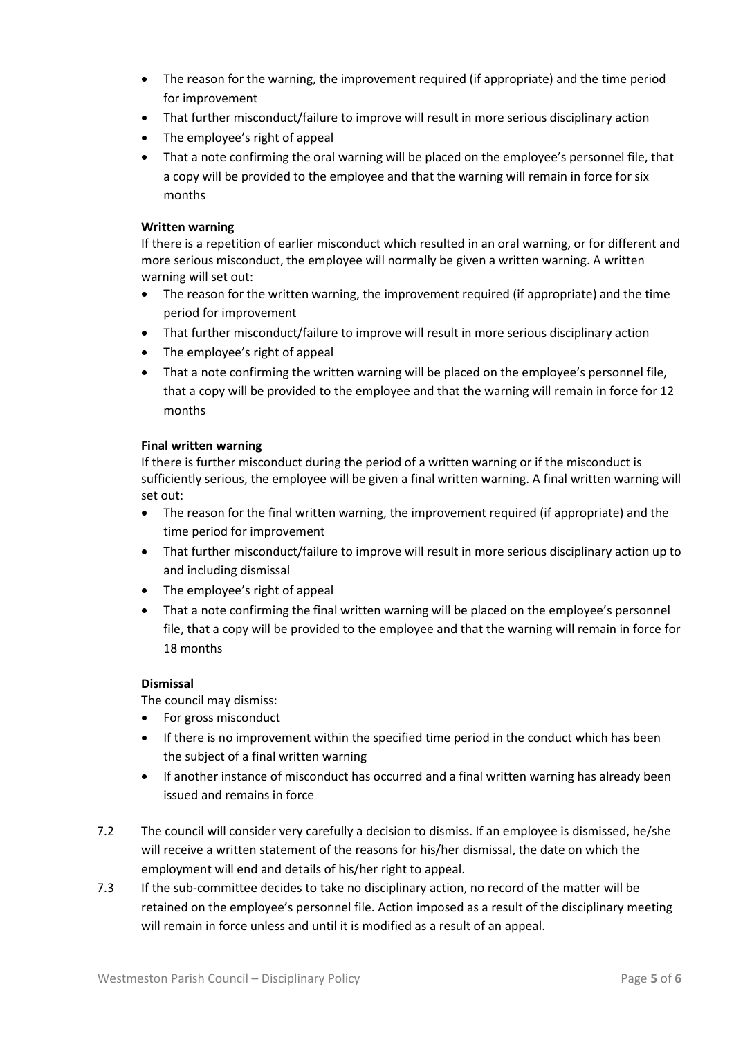- The reason for the warning, the improvement required (if appropriate) and the time period for improvement
- That further misconduct/failure to improve will result in more serious disciplinary action
- The employee's right of appeal
- That a note confirming the oral warning will be placed on the employee's personnel file, that a copy will be provided to the employee and that the warning will remain in force for six months

#### **Written warning**

If there is a repetition of earlier misconduct which resulted in an oral warning, or for different and more serious misconduct, the employee will normally be given a written warning. A written warning will set out:

- The reason for the written warning, the improvement required (if appropriate) and the time period for improvement
- That further misconduct/failure to improve will result in more serious disciplinary action
- The employee's right of appeal
- That a note confirming the written warning will be placed on the employee's personnel file, that a copy will be provided to the employee and that the warning will remain in force for 12 months

#### **Final written warning**

If there is further misconduct during the period of a written warning or if the misconduct is sufficiently serious, the employee will be given a final written warning. A final written warning will set out:

- The reason for the final written warning, the improvement required (if appropriate) and the time period for improvement
- That further misconduct/failure to improve will result in more serious disciplinary action up to and including dismissal
- The employee's right of appeal
- That a note confirming the final written warning will be placed on the employee's personnel file, that a copy will be provided to the employee and that the warning will remain in force for 18 months

# **Dismissal**

The council may dismiss:

- For gross misconduct
- If there is no improvement within the specified time period in the conduct which has been the subject of a final written warning
- If another instance of misconduct has occurred and a final written warning has already been issued and remains in force
- 7.2 The council will consider very carefully a decision to dismiss. If an employee is dismissed, he/she will receive a written statement of the reasons for his/her dismissal, the date on which the employment will end and details of his/her right to appeal.
- 7.3 If the sub-committee decides to take no disciplinary action, no record of the matter will be retained on the employee's personnel file. Action imposed as a result of the disciplinary meeting will remain in force unless and until it is modified as a result of an appeal.